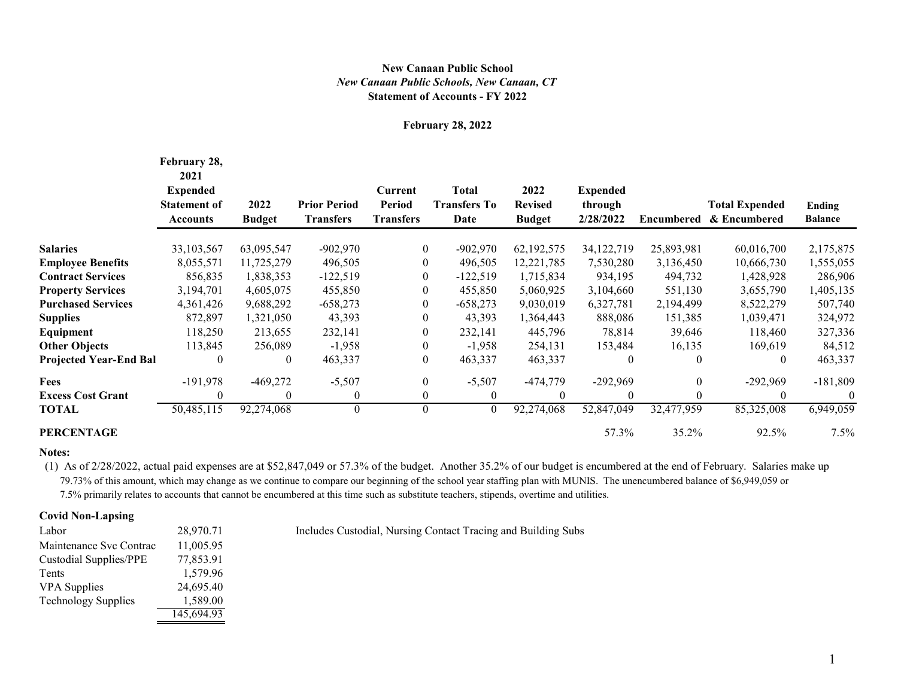## **Statement of Accounts - FY 2022** *New Canaan Public Schools, New Canaan, CT* **New Canaan Public School**

#### **February 28, 2022**

|                               | February 28,<br>2021<br><b>Expended</b><br><b>Statement of</b><br>Accounts | 2022<br><b>Budget</b> | <b>Prior Period</b><br><b>Transfers</b> | Current<br><b>Period</b><br><b>Transfers</b> | <b>Total</b><br><b>Transfers To</b><br>Date | 2022<br><b>Revised</b><br><b>Budget</b> | <b>Expended</b><br>through<br>2/28/2022 | Encumbered   | <b>Total Expended</b><br>& Encumbered | Ending<br><b>Balance</b> |
|-------------------------------|----------------------------------------------------------------------------|-----------------------|-----------------------------------------|----------------------------------------------|---------------------------------------------|-----------------------------------------|-----------------------------------------|--------------|---------------------------------------|--------------------------|
| <b>Salaries</b>               | 33,103,567                                                                 | 63,095,547            | $-902,970$                              | $\mathbf{0}$                                 | $-902,970$                                  | 62,192,575                              | 34,122,719                              | 25,893,981   | 60,016,700                            | 2,175,875                |
| <b>Employee Benefits</b>      | 8,055,571                                                                  | 11,725,279            | 496,505                                 | $\boldsymbol{0}$                             | 496,505                                     | 12,221,785                              | 7,530,280                               | 3,136,450    | 10,666,730                            | 1,555,055                |
| <b>Contract Services</b>      | 856,835                                                                    | 1,838,353             | $-122,519$                              | $\mathbf{0}$                                 | $-122,519$                                  | 1,715,834                               | 934,195                                 | 494,732      | 1,428,928                             | 286,906                  |
| <b>Property Services</b>      | 3,194,701                                                                  | 4,605,075             | 455,850                                 | $\overline{0}$                               | 455,850                                     | 5,060,925                               | 3,104,660                               | 551,130      | 3,655,790                             | 1,405,135                |
| <b>Purchased Services</b>     | 4,361,426                                                                  | 9,688,292             | $-658,273$                              | 0                                            | $-658,273$                                  | 9,030,019                               | 6,327,781                               | 2,194,499    | 8,522,279                             | 507,740                  |
| Supplies                      | 872,897                                                                    | 1,321,050             | 43,393                                  | $\overline{0}$                               | 43,393                                      | 1,364,443                               | 888,086                                 | 151,385      | 1,039,471                             | 324,972                  |
| Equipment                     | 118,250                                                                    | 213,655               | 232,141                                 | $\mathbf{0}$                                 | 232,141                                     | 445,796                                 | 78,814                                  | 39,646       | 118,460                               | 327,336                  |
| <b>Other Objects</b>          | 113,845                                                                    | 256,089               | $-1,958$                                | $\boldsymbol{0}$                             | $-1,958$                                    | 254,131                                 | 153,484                                 | 16,135       | 169,619                               | 84,512                   |
| <b>Projected Year-End Bal</b> | $\theta$                                                                   | $\mathbf{0}$          | 463,337                                 | $\mathbf{0}$                                 | 463,337                                     | 463,337                                 | $\theta$                                | $\theta$     | $\theta$                              | 463,337                  |
| Fees                          | $-191,978$                                                                 | $-469,272$            | $-5,507$                                | $\mathbf{0}$                                 | $-5,507$                                    | -474,779                                | $-292,969$                              | $\mathbf{0}$ | $-292,969$                            | $-181,809$               |
| <b>Excess Cost Grant</b>      | $\theta$                                                                   | $\theta$              | $\boldsymbol{0}$                        | $\mathbf{0}$                                 | $\theta$                                    | $\theta$                                | $\theta$                                | $\theta$     | $\Omega$                              |                          |
| TOTAL                         | 50,485,115                                                                 | 92,274,068            | $\theta$                                | $\mathbf{0}$                                 | $\theta$                                    | 92,274,068                              | 52,847,049                              | 32,477,959   | 85,325,008                            | 6,949,059                |
| <b>PERCENTAGE</b>             |                                                                            |                       |                                         |                                              |                                             |                                         | 57.3%                                   | 35.2%        | 92.5%                                 | 7.5%                     |

### **Notes:**

 (1) As of 2/28/2022, actual paid expenses are at \$52,847,049 or 57.3% of the budget. Another 35.2% of our budget is encumbered at the end of February. Salaries make up 79.73% of this amount, which may change as we continue to compare our beginning of the school year staffing plan with MUNIS. The unencumbered balance of \$6,949,059 or 7.5% primarily relates to accounts that cannot be encumbered at this time such as substitute teachers, stipends, overtime and utilities.

### **Covid Non-Lapsing**

| Labor                         | 28,970.71  |
|-------------------------------|------------|
| Maintenance Syc Contrac       | 11,005.95  |
| <b>Custodial Supplies/PPE</b> | 77,853.91  |
| Tents                         | 1,579.96   |
| <b>VPA</b> Supplies           | 24,695.40  |
| <b>Technology Supplies</b>    | 1,589.00   |
|                               | 145,694.93 |

Includes Custodial, Nursing Contact Tracing and Building Subs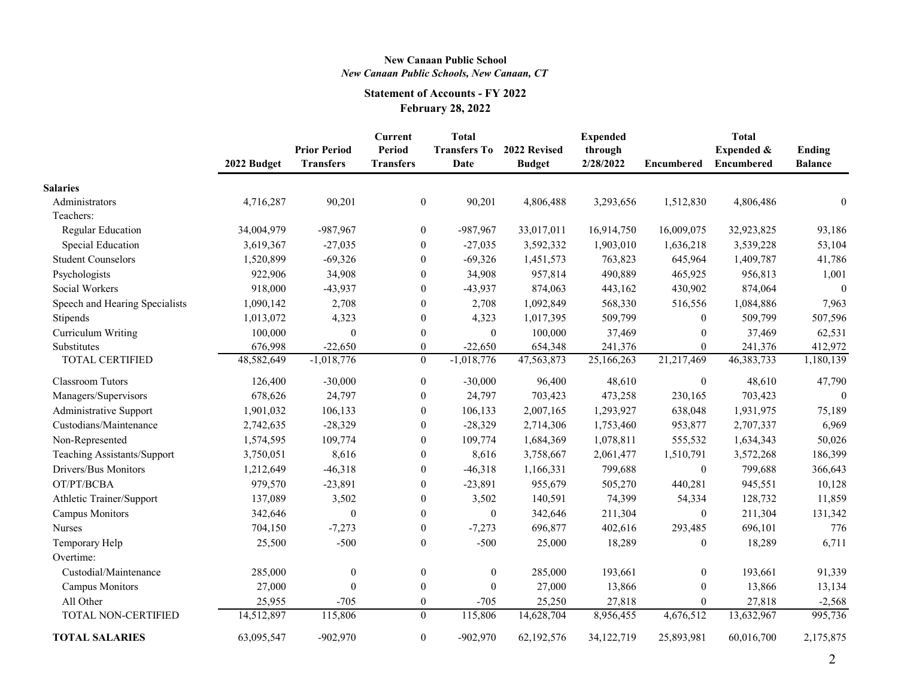## **New Canaan Public School** *New Canaan Public Schools, New Canaan, CT*

# **Statement of Accounts - FY 2022 February 28, 2022**

|                                | 2022 Budget | <b>Prior Period</b><br><b>Transfers</b> | <b>Current</b><br>Period<br><b>Transfers</b> | <b>Total</b><br><b>Transfers To</b><br>Date | 2022 Revised<br><b>Budget</b> | <b>Expended</b><br>through<br>2/28/2022 | Encumbered       | <b>Total</b><br>Expended &<br>Encumbered | <b>Ending</b><br><b>Balance</b> |
|--------------------------------|-------------|-----------------------------------------|----------------------------------------------|---------------------------------------------|-------------------------------|-----------------------------------------|------------------|------------------------------------------|---------------------------------|
| <b>Salaries</b>                |             |                                         |                                              |                                             |                               |                                         |                  |                                          |                                 |
| Administrators                 | 4,716,287   | 90,201                                  | $\boldsymbol{0}$                             | 90,201                                      | 4,806,488                     | 3,293,656                               | 1,512,830        | 4,806,486                                | $\mathbf{0}$                    |
| Teachers:                      |             |                                         |                                              |                                             |                               |                                         |                  |                                          |                                 |
| Regular Education              | 34,004,979  | $-987,967$                              | $\boldsymbol{0}$                             | -987,967                                    | 33,017,011                    | 16,914,750                              | 16,009,075       | 32,923,825                               | 93,186                          |
| Special Education              | 3,619,367   | $-27,035$                               | $\mathbf{0}$                                 | $-27,035$                                   | 3,592,332                     | 1,903,010                               | 1,636,218        | 3,539,228                                | 53,104                          |
| <b>Student Counselors</b>      | 1,520,899   | $-69,326$                               | $\boldsymbol{0}$                             | $-69,326$                                   | 1,451,573                     | 763,823                                 | 645,964          | 1,409,787                                | 41,786                          |
| Psychologists                  | 922,906     | 34,908                                  | $\boldsymbol{0}$                             | 34,908                                      | 957,814                       | 490,889                                 | 465,925          | 956,813                                  | 1,001                           |
| Social Workers                 | 918,000     | $-43,937$                               | $\boldsymbol{0}$                             | $-43,937$                                   | 874,063                       | 443,162                                 | 430,902          | 874,064                                  | $\theta$                        |
| Speech and Hearing Specialists | 1,090,142   | 2,708                                   | $\boldsymbol{0}$                             | 2,708                                       | 1,092,849                     | 568,330                                 | 516,556          | 1,084,886                                | 7,963                           |
| Stipends                       | 1,013,072   | 4,323                                   | $\mathbf{0}$                                 | 4,323                                       | 1,017,395                     | 509,799                                 | $\overline{0}$   | 509,799                                  | 507,596                         |
| Curriculum Writing             | 100,000     | $\theta$                                | $\boldsymbol{0}$                             | $\theta$                                    | 100,000                       | 37,469                                  | $\mathbf{0}$     | 37,469                                   | 62,531                          |
| Substitutes                    | 676,998     | $-22,650$                               | $\mathbf{0}$                                 | $-22,650$                                   | 654,348                       | 241,376                                 | $\theta$         | 241,376                                  | 412,972                         |
| TOTAL CERTIFIED                | 48,582,649  | $-1,018,776$                            | $\overline{0}$                               | $-1,018,776$                                | 47,563,873                    | 25,166,263                              | 21,217,469       | 46, 383, 733                             | 1,180,139                       |
| <b>Classroom Tutors</b>        | 126,400     | $-30,000$                               | $\mathbf{0}$                                 | $-30,000$                                   | 96,400                        | 48,610                                  | $\mathbf{0}$     | 48,610                                   | 47,790                          |
| Managers/Supervisors           | 678,626     | 24,797                                  | $\mathbf{0}$                                 | 24,797                                      | 703,423                       | 473,258                                 | 230,165          | 703,423                                  | $\Omega$                        |
| Administrative Support         | 1,901,032   | 106,133                                 | $\mathbf{0}$                                 | 106,133                                     | 2,007,165                     | 1,293,927                               | 638,048          | 1,931,975                                | 75,189                          |
| Custodians/Maintenance         | 2,742,635   | $-28,329$                               | $\boldsymbol{0}$                             | $-28,329$                                   | 2,714,306                     | 1,753,460                               | 953,877          | 2,707,337                                | 6,969                           |
| Non-Represented                | 1,574,595   | 109,774                                 | $\mathbf{0}$                                 | 109,774                                     | 1,684,369                     | 1,078,811                               | 555,532          | 1,634,343                                | 50,026                          |
| Teaching Assistants/Support    | 3,750,051   | 8,616                                   | $\boldsymbol{0}$                             | 8,616                                       | 3,758,667                     | 2,061,477                               | 1,510,791        | 3,572,268                                | 186,399                         |
| Drivers/Bus Monitors           | 1,212,649   | $-46,318$                               | $\boldsymbol{0}$                             | $-46,318$                                   | 1,166,331                     | 799,688                                 | $\mathbf{0}$     | 799,688                                  | 366,643                         |
| OT/PT/BCBA                     | 979,570     | $-23,891$                               | $\mathbf{0}$                                 | $-23,891$                                   | 955,679                       | 505,270                                 | 440,281          | 945,551                                  | 10,128                          |
| Athletic Trainer/Support       | 137,089     | 3,502                                   | $\boldsymbol{0}$                             | 3,502                                       | 140,591                       | 74,399                                  | 54,334           | 128,732                                  | 11,859                          |
| <b>Campus Monitors</b>         | 342,646     | $\theta$                                | $\mathbf{0}$                                 | $\theta$                                    | 342,646                       | 211,304                                 | $\theta$         | 211,304                                  | 131,342                         |
| <b>Nurses</b>                  | 704,150     | $-7,273$                                | $\boldsymbol{0}$                             | $-7,273$                                    | 696,877                       | 402,616                                 | 293,485          | 696,101                                  | 776                             |
| Temporary Help                 | 25,500      | $-500$                                  | $\mathbf{0}$                                 | $-500$                                      | 25,000                        | 18,289                                  | $\mathbf{0}$     | 18,289                                   | 6,711                           |
| Overtime:                      |             |                                         |                                              |                                             |                               |                                         |                  |                                          |                                 |
| Custodial/Maintenance          | 285,000     | $\boldsymbol{0}$                        | $\boldsymbol{0}$                             | $\boldsymbol{0}$                            | 285,000                       | 193,661                                 | $\boldsymbol{0}$ | 193,661                                  | 91,339                          |
| <b>Campus Monitors</b>         | 27,000      | $\theta$                                | $\boldsymbol{0}$                             | $\theta$                                    | 27,000                        | 13,866                                  | $\boldsymbol{0}$ | 13,866                                   | 13,134                          |
| All Other                      | 25,955      | $-705$                                  | $\boldsymbol{0}$                             | $-705$                                      | 25,250                        | 27,818                                  | $\mathbf{0}$     | 27,818                                   | $-2,568$                        |
| TOTAL NON-CERTIFIED            | 14,512,897  | 115,806                                 | $\overline{0}$                               | 115,806                                     | 14,628,704                    | 8,956,455                               | 4,676,512        | 13,632,967                               | 995,736                         |
| <b>TOTAL SALARIES</b>          | 63,095,547  | $-902,970$                              | $\mathbf{0}$                                 | $-902,970$                                  | 62,192,576                    | 34,122,719                              | 25,893,981       | 60,016,700                               | 2,175,875                       |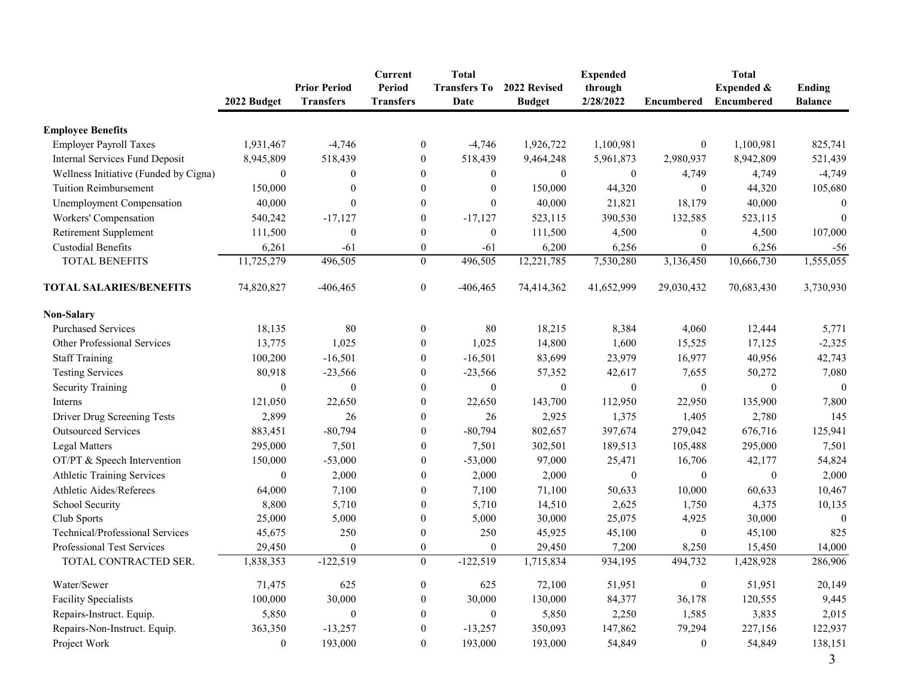|                                       | 2022 Budget      | <b>Prior Period</b><br><b>Transfers</b> | Current<br>Period<br><b>Transfers</b> | <b>Total</b><br><b>Transfers To</b><br>Date | 2022 Revised<br><b>Budget</b> | <b>Expended</b><br>through<br>2/28/2022 | <b>Encumbered</b> | <b>Total</b><br>Expended &<br><b>Encumbered</b> | <b>Ending</b><br><b>Balance</b> |
|---------------------------------------|------------------|-----------------------------------------|---------------------------------------|---------------------------------------------|-------------------------------|-----------------------------------------|-------------------|-------------------------------------------------|---------------------------------|
| <b>Employee Benefits</b>              |                  |                                         |                                       |                                             |                               |                                         |                   |                                                 |                                 |
| <b>Employer Payroll Taxes</b>         | 1,931,467        | $-4,746$                                | $\mathbf{0}$                          | $-4,746$                                    | 1,926,722                     | 1,100,981                               | $\boldsymbol{0}$  | 1,100,981                                       | 825,741                         |
| Internal Services Fund Deposit        | 8,945,809        | 518,439                                 | $\boldsymbol{0}$                      | 518,439                                     | 9,464,248                     | 5,961,873                               | 2,980,937         | 8,942,809                                       | 521,439                         |
| Wellness Initiative (Funded by Cigna) | $\boldsymbol{0}$ | $\mathbf{0}$                            | $\boldsymbol{0}$                      | $\mathbf{0}$                                | $\boldsymbol{0}$              | $\boldsymbol{0}$                        | 4,749             | 4,749                                           | $-4,749$                        |
| <b>Tuition Reimbursement</b>          | 150,000          | $\boldsymbol{0}$                        | $\boldsymbol{0}$                      | $\boldsymbol{0}$                            | 150,000                       | 44,320                                  | $\mathbf{0}$      | 44,320                                          | 105,680                         |
| Unemployment Compensation             | 40,000           | $\boldsymbol{0}$                        | $\boldsymbol{0}$                      | $\boldsymbol{0}$                            | 40,000                        | 21,821                                  | 18,179            | 40,000                                          | $\theta$                        |
| Workers' Compensation                 | 540,242          | $-17,127$                               | $\boldsymbol{0}$                      | $-17,127$                                   | 523,115                       | 390,530                                 | 132,585           | 523,115                                         | $\boldsymbol{0}$                |
| Retirement Supplement                 | 111,500          | $\theta$                                | $\mathbf{0}$                          | $\mathbf{0}$                                | 111,500                       | 4,500                                   | $\mathbf{0}$      | 4,500                                           | 107,000                         |
| <b>Custodial Benefits</b>             | 6,261            | $-61$                                   | $\boldsymbol{0}$                      | $-61$                                       | 6,200                         | 6,256                                   | $\boldsymbol{0}$  | 6,256                                           | $-56$                           |
| <b>TOTAL BENEFITS</b>                 | 11,725,279       | 496,505                                 | $\mathbf{0}$                          | 496,505                                     | 12,221,785                    | 7,530,280                               | 3,136,450         | 10,666,730                                      | 1,555,055                       |
| <b>TOTAL SALARIES/BENEFITS</b>        | 74,820,827       | $-406, 465$                             | $\boldsymbol{0}$                      | $-406, 465$                                 | 74,414,362                    | 41,652,999                              | 29,030,432        | 70,683,430                                      | 3,730,930                       |
| <b>Non-Salary</b>                     |                  |                                         |                                       |                                             |                               |                                         |                   |                                                 |                                 |
| <b>Purchased Services</b>             | 18,135           | 80                                      | $\mathbf{0}$                          | 80                                          | 18,215                        | 8,384                                   | 4,060             | 12,444                                          | 5,771                           |
| Other Professional Services           | 13,775           | 1,025                                   | $\mathbf{0}$                          | 1,025                                       | 14,800                        | 1,600                                   | 15,525            | 17,125                                          | $-2,325$                        |
| <b>Staff Training</b>                 | 100,200          | $-16,501$                               | $\boldsymbol{0}$                      | $-16,501$                                   | 83,699                        | 23,979                                  | 16,977            | 40,956                                          | 42,743                          |
| <b>Testing Services</b>               | 80,918           | $-23,566$                               | $\boldsymbol{0}$                      | $-23,566$                                   | 57,352                        | 42,617                                  | 7,655             | 50,272                                          | 7,080                           |
| <b>Security Training</b>              | $\mathbf{0}$     | $\boldsymbol{0}$                        | $\mathbf{0}$                          | $\boldsymbol{0}$                            | $\mathbf{0}$                  | $\mathbf{0}$                            | $\boldsymbol{0}$  | $\theta$                                        | $\mathbf{0}$                    |
| Interns                               | 121,050          | 22,650                                  | $\theta$                              | 22,650                                      | 143,700                       | 112,950                                 | 22,950            | 135,900                                         | 7,800                           |
| Driver Drug Screening Tests           | 2,899            | 26                                      | $\boldsymbol{0}$                      | 26                                          | 2,925                         | 1,375                                   | 1,405             | 2,780                                           | 145                             |
| <b>Outsourced Services</b>            | 883,451          | $-80,794$                               | $\boldsymbol{0}$                      | $-80,794$                                   | 802,657                       | 397,674                                 | 279,042           | 676,716                                         | 125,941                         |
| <b>Legal Matters</b>                  | 295,000          | 7,501                                   | $\boldsymbol{0}$                      | 7,501                                       | 302,501                       | 189,513                                 | 105,488           | 295,000                                         | 7,501                           |
| OT/PT & Speech Intervention           | 150,000          | $-53,000$                               | $\boldsymbol{0}$                      | $-53,000$                                   | 97,000                        | 25,471                                  | 16,706            | 42,177                                          | 54,824                          |
| <b>Athletic Training Services</b>     | $\boldsymbol{0}$ | 2,000                                   | $\bf{0}$                              | 2,000                                       | 2,000                         | $\boldsymbol{0}$                        | $\boldsymbol{0}$  | $\boldsymbol{0}$                                | 2,000                           |
| Athletic Aides/Referees               | 64,000           | 7,100                                   | $\mathbf{0}$                          | 7,100                                       | 71,100                        | 50,633                                  | 10,000            | 60,633                                          | 10,467                          |
| School Security                       | 8,800            | 5,710                                   | $\mathbf{0}$                          | 5,710                                       | 14,510                        | 2,625                                   | 1,750             | 4,375                                           | 10,135                          |
| Club Sports                           | 25,000           | 5,000                                   | $\boldsymbol{0}$                      | 5,000                                       | 30,000                        | 25,075                                  | 4,925             | 30,000                                          | $\Omega$                        |
| Technical/Professional Services       | 45,675           | 250                                     | $\boldsymbol{0}$                      | 250                                         | 45,925                        | 45,100                                  | $\boldsymbol{0}$  | 45,100                                          | 825                             |
| Professional Test Services            | 29,450           | $\mathbf{0}$                            | $\boldsymbol{0}$                      | $\mathbf{0}$                                | 29,450                        | 7,200                                   | 8,250             | 15,450                                          | 14,000                          |
| TOTAL CONTRACTED SER.                 | 1,838,353        | $-122,519$                              | $\theta$                              | $-122,519$                                  | 1,715,834                     | 934,195                                 | 494,732           | 1,428,928                                       | 286,906                         |
| Water/Sewer                           | 71,475           | 625                                     | $\boldsymbol{0}$                      | 625                                         | 72,100                        | 51,951                                  | $\boldsymbol{0}$  | 51,951                                          | 20,149                          |
| <b>Facility Specialists</b>           | 100,000          | 30,000                                  | $\overline{0}$                        | 30,000                                      | 130,000                       | 84,377                                  | 36,178            | 120,555                                         | 9,445                           |
| Repairs-Instruct. Equip.              | 5,850            | $\theta$                                | $\mathbf{0}$                          | $\theta$                                    | 5,850                         | 2,250                                   | 1,585             | 3,835                                           | 2,015                           |
| Repairs-Non-Instruct. Equip.          | 363,350          | $-13,257$                               | $\mathbf{0}$                          | $-13,257$                                   | 350,093                       | 147,862                                 | 79,294            | 227,156                                         | 122,937                         |
| Project Work                          | $\boldsymbol{0}$ | 193,000                                 | $\boldsymbol{0}$                      | 193,000                                     | 193,000                       | 54,849                                  | $\bf{0}$          | 54,849                                          | 138,151<br>$\mathfrak{Z}$       |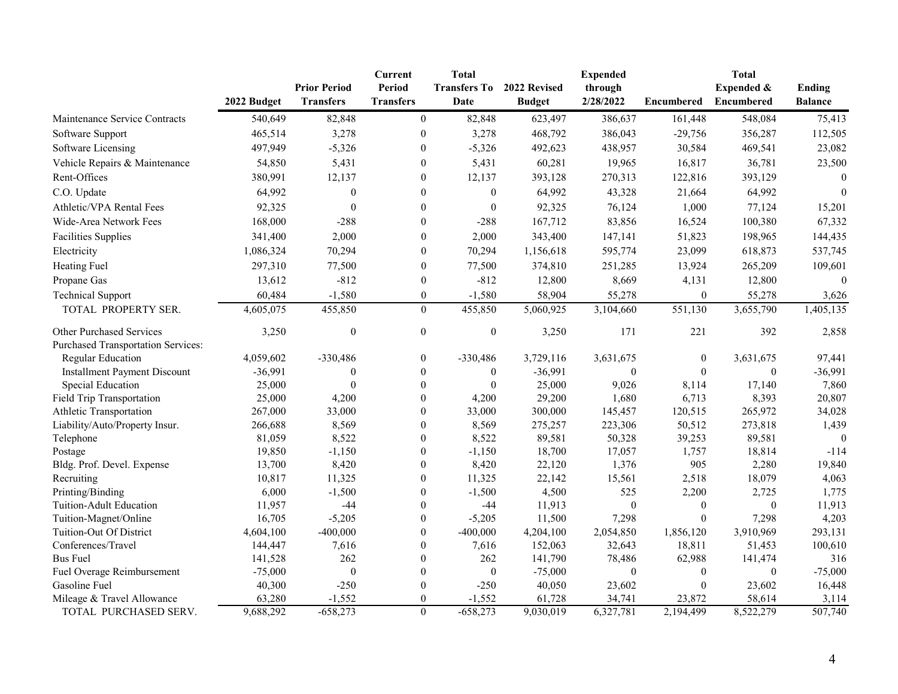|                                           |             |                                         | <b>Current</b>             | <b>Total</b>                |                               | <b>Expended</b>      |                  | <b>Total</b>                    |                                 |
|-------------------------------------------|-------------|-----------------------------------------|----------------------------|-----------------------------|-------------------------------|----------------------|------------------|---------------------------------|---------------------------------|
|                                           | 2022 Budget | <b>Prior Period</b><br><b>Transfers</b> | Period<br><b>Transfers</b> | <b>Transfers To</b><br>Date | 2022 Revised<br><b>Budget</b> | through<br>2/28/2022 | Encumbered       | Expended &<br><b>Encumbered</b> | <b>Ending</b><br><b>Balance</b> |
| Maintenance Service Contracts             | 540,649     | 82,848                                  | $\theta$                   | 82,848                      | 623,497                       | 386,637              | 161,448          | 548,084                         | 75,413                          |
| Software Support                          | 465,514     | 3,278                                   | $\boldsymbol{0}$           | 3,278                       | 468,792                       | 386,043              | $-29,756$        | 356,287                         | 112,505                         |
| Software Licensing                        | 497,949     | $-5,326$                                | $\theta$                   | $-5,326$                    | 492,623                       | 438,957              | 30,584           | 469,541                         | 23,082                          |
| Vehicle Repairs & Maintenance             | 54,850      | 5,431                                   | $\overline{0}$             | 5,431                       | 60,281                        | 19,965               | 16,817           | 36,781                          | 23,500                          |
| Rent-Offices                              | 380,991     | 12,137                                  | $\boldsymbol{0}$           | 12,137                      | 393,128                       | 270,313              | 122,816          | 393,129                         | $\theta$                        |
| C.O. Update                               | 64,992      | $\boldsymbol{0}$                        | $\theta$                   | $\boldsymbol{0}$            | 64,992                        | 43,328               | 21,664           | 64,992                          | $\overline{0}$                  |
| Athletic/VPA Rental Fees                  | 92,325      | $\theta$                                | $\theta$                   | $\mathbf{0}$                | 92,325                        | 76,124               | 1,000            | 77,124                          | 15,201                          |
| Wide-Area Network Fees                    | 168,000     | $-288$                                  | $\Omega$                   | $-288$                      | 167,712                       | 83,856               | 16,524           | 100,380                         | 67,332                          |
| <b>Facilities Supplies</b>                | 341,400     | 2,000                                   | $\theta$                   | 2,000                       | 343,400                       | 147,141              | 51,823           | 198,965                         | 144,435                         |
| Electricity                               | 1,086,324   | 70,294                                  | $\mathbf{0}$               | 70,294                      | 1,156,618                     | 595,774              | 23,099           | 618,873                         | 537,745                         |
| <b>Heating Fuel</b>                       | 297,310     | 77,500                                  | $\theta$                   | 77,500                      | 374,810                       | 251,285              | 13,924           | 265,209                         | 109,601                         |
| Propane Gas                               | 13,612      | $-812$                                  | $\theta$                   | $-812$                      | 12,800                        | 8,669                | 4,131            | 12,800                          | $\theta$                        |
|                                           | 60,484      | $-1,580$                                | $\theta$                   | $-1,580$                    | 58,904                        | 55,278               | $\boldsymbol{0}$ |                                 | 3,626                           |
| <b>Technical Support</b>                  |             |                                         |                            |                             |                               |                      |                  | 55,278                          |                                 |
| TOTAL PROPERTY SER.                       | 4,605,075   | 455,850                                 | $\overline{0}$             | 455,850                     | 5,060,925                     | 3,104,660            | 551,130          | 3,655,790                       | 1,405,135                       |
| <b>Other Purchased Services</b>           | 3,250       | $\boldsymbol{0}$                        | $\boldsymbol{0}$           | $\boldsymbol{0}$            | 3,250                         | 171                  | 221              | 392                             | 2,858                           |
| <b>Purchased Transportation Services:</b> |             |                                         |                            |                             |                               |                      |                  |                                 |                                 |
| Regular Education                         | 4,059,602   | $-330,486$                              | $\boldsymbol{0}$           | $-330,486$                  | 3,729,116                     | 3,631,675            | $\boldsymbol{0}$ | 3,631,675                       | 97,441                          |
| <b>Installment Payment Discount</b>       | $-36,991$   | $\mathbf{0}$                            | $\overline{0}$             | $\boldsymbol{0}$            | $-36,991$                     | $\boldsymbol{0}$     | $\mathbf{0}$     | $\mathbf{0}$                    | $-36,991$                       |
| Special Education                         | 25,000      | $\theta$                                | $\boldsymbol{0}$           | $\boldsymbol{0}$            | 25,000                        | 9,026                | 8,114            | 17,140                          | 7,860                           |
| Field Trip Transportation                 | 25,000      | 4,200                                   | $\theta$                   | 4,200                       | 29,200                        | 1,680                | 6,713            | 8,393                           | 20,807                          |
| Athletic Transportation                   | 267,000     | 33,000                                  | $\mathbf{0}$               | 33,000                      | 300,000                       | 145,457              | 120,515          | 265,972                         | 34,028                          |
| Liability/Auto/Property Insur.            | 266,688     | 8,569                                   | $\mathbf{0}$               | 8,569                       | 275,257                       | 223,306              | 50,512           | 273,818                         | 1,439                           |
| Telephone                                 | 81,059      | 8,522                                   | $\overline{0}$             | 8,522                       | 89,581                        | 50,328               | 39,253           | 89,581                          | $\theta$                        |
| Postage                                   | 19,850      | $-1,150$                                | $\overline{0}$             | $-1,150$                    | 18,700                        | 17,057               | 1,757            | 18,814                          | $-114$                          |
| Bldg. Prof. Devel. Expense                | 13,700      | 8,420                                   | $\theta$                   | 8,420                       | 22,120                        | 1,376                | 905              | 2,280                           | 19,840                          |
| Recruiting                                | 10,817      | 11,325                                  | $\mathbf{0}$               | 11,325                      | 22,142                        | 15,561               | 2,518            | 18,079                          | 4,063                           |
| Printing/Binding                          | 6,000       | $-1,500$                                | $\Omega$                   | $-1,500$                    | 4,500                         | 525                  | 2,200            | 2,725                           | 1,775                           |
| Tuition-Adult Education                   | 11,957      | $-44$                                   | $\theta$                   | -44                         | 11,913                        | $\mathbf{0}$         | $\mathbf{0}$     | $\boldsymbol{0}$                | 11,913                          |
| Tuition-Magnet/Online                     | 16,705      | $-5,205$                                | $\overline{0}$             | $-5,205$                    | 11,500                        | 7,298                | $\mathbf{0}$     | 7,298                           | 4,203                           |
| Tuition-Out Of District                   | 4,604,100   | $-400,000$                              | $\boldsymbol{0}$           | $-400,000$                  | 4,204,100                     | 2,054,850            | 1,856,120        | 3,910,969                       | 293,131                         |
| Conferences/Travel                        | 144,447     | 7,616                                   | $\theta$                   | 7,616                       | 152,063                       | 32,643               | 18,811           | 51,453                          | 100,610                         |
| <b>Bus Fuel</b>                           | 141,528     | 262                                     | $\Omega$                   | 262                         | 141,790                       | 78,486               | 62,988           | 141,474                         | 316                             |
| Fuel Overage Reimbursement                | $-75,000$   | $\mathbf{0}$                            | $\theta$                   | $\boldsymbol{0}$            | $-75,000$                     | $\mathbf{0}$         | $\mathbf{0}$     | $\boldsymbol{0}$                | $-75,000$                       |
| Gasoline Fuel                             | 40,300      | $-250$                                  | $\Omega$                   | $-250$                      | 40,050                        | 23,602               | $\boldsymbol{0}$ | 23,602                          | 16,448                          |
| Mileage & Travel Allowance                | 63,280      | $-1,552$                                | $\theta$                   | $-1,552$                    | 61,728                        | 34,741               | 23,872           | 58,614                          | 3,114                           |
| TOTAL PURCHASED SERV.                     | 9,688,292   | $-658,273$                              | $\boldsymbol{0}$           | $-658,273$                  | 9,030,019                     | 6,327,781            | 2,194,499        | 8,522,279                       | 507,740                         |